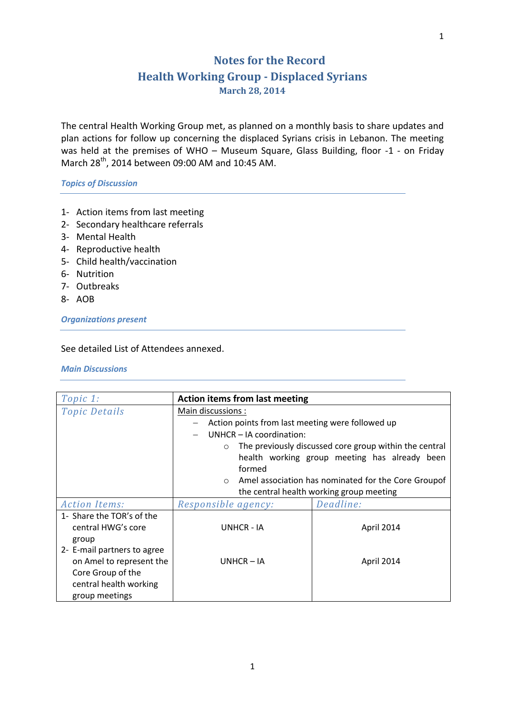## **Notes for the Record Health Working Group - Displaced Syrians March 28, 2014**

The central Health Working Group met, as planned on a monthly basis to share updates and plan actions for follow up concerning the displaced Syrians crisis in Lebanon. The meeting was held at the premises of WHO – Museum Square, Glass Building, floor -1 - on Friday March 28th, 2014 between 09:00 AM and 10:45 AM.

*Topics of Discussion*

- 1- Action items from last meeting
- 2- Secondary healthcare referrals
- 3- Mental Health
- 4- Reproductive health
- 5- Child health/vaccination
- 6- Nutrition
- 7- Outbreaks
- 8- AOB

*Organizations present*

## See detailed List of Attendees annexed.

*Main Discussions* 

| Topic 1:                    | <b>Action items from last meeting</b>            |                                                        |
|-----------------------------|--------------------------------------------------|--------------------------------------------------------|
| <b>Topic Details</b>        | Main discussions :                               |                                                        |
|                             | Action points from last meeting were followed up |                                                        |
|                             | UNHCR - IA coordination:                         |                                                        |
|                             | $\circ$                                          | The previously discussed core group within the central |
|                             |                                                  | health working group meeting has already been          |
|                             | formed                                           |                                                        |
|                             | $\circ$                                          | Amel association has nominated for the Core Groupof    |
|                             |                                                  | the central health working group meeting               |
| <b>Action Items:</b>        | Responsible agency:                              | Deadline:                                              |
| 1- Share the TOR's of the   |                                                  |                                                        |
| central HWG's core          | UNHCR - IA                                       | April 2014                                             |
| group                       |                                                  |                                                        |
| 2- E-mail partners to agree |                                                  |                                                        |
| on Amel to represent the    | $UNHCR - IA$                                     | April 2014                                             |
| Core Group of the           |                                                  |                                                        |
| central health working      |                                                  |                                                        |
| group meetings              |                                                  |                                                        |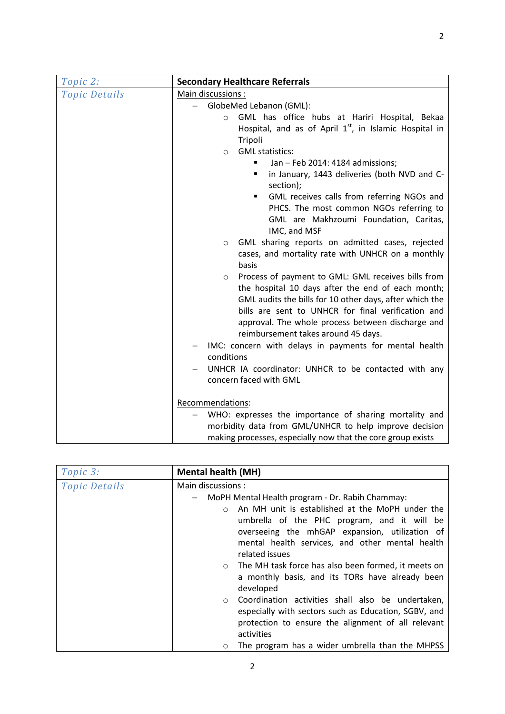| Topic 2:             | <b>Secondary Healthcare Referrals</b>                              |  |
|----------------------|--------------------------------------------------------------------|--|
| <b>Topic Details</b> | Main discussions :                                                 |  |
|                      | GlobeMed Lebanon (GML):                                            |  |
|                      | GML has office hubs at Hariri Hospital, Bekaa<br>$\circ$           |  |
|                      | Hospital, and as of April 1 <sup>st</sup> , in Islamic Hospital in |  |
|                      | Tripoli                                                            |  |
|                      | <b>GML</b> statistics:<br>$\circ$                                  |  |
|                      | Jan - Feb 2014: 4184 admissions;<br>٠                              |  |
|                      | in January, 1443 deliveries (both NVD and C-<br>п<br>section);     |  |
|                      | GML receives calls from referring NGOs and<br>٠                    |  |
|                      | PHCS. The most common NGOs referring to                            |  |
|                      | GML are Makhzoumi Foundation, Caritas,                             |  |
|                      | IMC, and MSF                                                       |  |
|                      | GML sharing reports on admitted cases, rejected<br>$\circ$         |  |
|                      | cases, and mortality rate with UNHCR on a monthly                  |  |
|                      | basis                                                              |  |
|                      | Process of payment to GML: GML receives bills from<br>$\circ$      |  |
|                      | the hospital 10 days after the end of each month;                  |  |
|                      | GML audits the bills for 10 other days, after which the            |  |
|                      | bills are sent to UNHCR for final verification and                 |  |
|                      | approval. The whole process between discharge and                  |  |
|                      | reimbursement takes around 45 days.                                |  |
|                      | IMC: concern with delays in payments for mental health             |  |
|                      | conditions                                                         |  |
|                      | UNHCR IA coordinator: UNHCR to be contacted with any               |  |
|                      | concern faced with GML                                             |  |
|                      | Recommendations:                                                   |  |
|                      | WHO: expresses the importance of sharing mortality and             |  |
|                      | morbidity data from GML/UNHCR to help improve decision             |  |
|                      | making processes, especially now that the core group exists        |  |

| Topic 3:             | <b>Mental health (MH)</b>                                                                                                                                                                                                           |
|----------------------|-------------------------------------------------------------------------------------------------------------------------------------------------------------------------------------------------------------------------------------|
| <b>Topic Details</b> | Main discussions:                                                                                                                                                                                                                   |
|                      | MoPH Mental Health program - Dr. Rabih Chammay:<br>$-$                                                                                                                                                                              |
|                      | An MH unit is established at the MoPH under the<br>$\bigcirc$<br>umbrella of the PHC program, and it will be<br>overseeing the mhGAP expansion, utilization of<br>mental health services, and other mental health<br>related issues |
|                      | The MH task force has also been formed, it meets on<br>$\circ$<br>a monthly basis, and its TORs have already been<br>developed                                                                                                      |
|                      | Coordination activities shall also be undertaken,<br>$\circ$<br>especially with sectors such as Education, SGBV, and<br>protection to ensure the alignment of all relevant<br>activities                                            |
|                      | The program has a wider umbrella than the MHPSS<br>O                                                                                                                                                                                |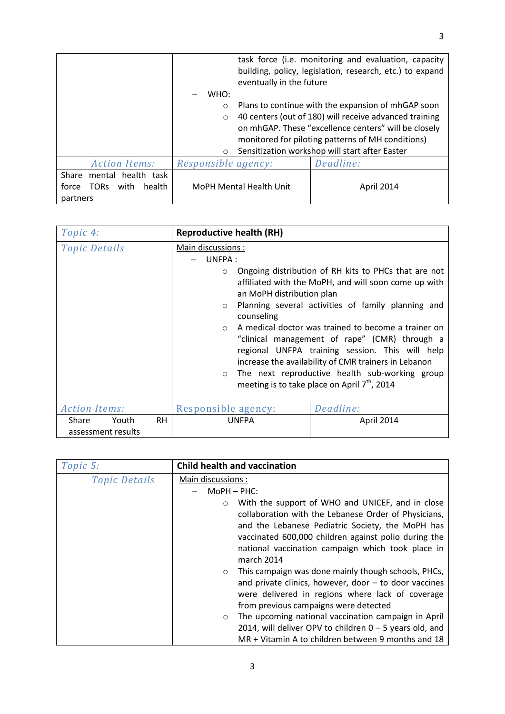|                                        |                     | eventually in the future       | task force (i.e. monitoring and evaluation, capacity<br>building, policy, legislation, research, etc.) to expand |
|----------------------------------------|---------------------|--------------------------------|------------------------------------------------------------------------------------------------------------------|
|                                        | WHO:                |                                |                                                                                                                  |
|                                        | $\circ$             |                                | Plans to continue with the expansion of mhGAP soon                                                               |
|                                        | $\circ$             |                                | 40 centers (out of 180) will receive advanced training                                                           |
|                                        |                     |                                | on mhGAP. These "excellence centers" will be closely                                                             |
|                                        |                     |                                | monitored for piloting patterns of MH conditions)                                                                |
|                                        | $\circ$             |                                | Sensitization workshop will start after Easter                                                                   |
| <b>Action Items:</b>                   | Responsible agency: |                                | Deadline:                                                                                                        |
| mental health task<br>Share            |                     |                                |                                                                                                                  |
| with<br>force<br><b>TORS</b><br>health |                     | <b>MoPH Mental Health Unit</b> | <b>April 2014</b>                                                                                                |
| partners                               |                     |                                |                                                                                                                  |

| Topic 4:                             |           | <b>Reproductive health (RH)</b>                                                                                    |                                                                                                                                                                                                                                                                                                                                                                                                                                                                                                     |
|--------------------------------------|-----------|--------------------------------------------------------------------------------------------------------------------|-----------------------------------------------------------------------------------------------------------------------------------------------------------------------------------------------------------------------------------------------------------------------------------------------------------------------------------------------------------------------------------------------------------------------------------------------------------------------------------------------------|
| <b>Topic Details</b>                 |           | Main discussions:<br>UNFPA:<br>$\circ$<br>an MoPH distribution plan<br>$\circ$<br>counseling<br>$\circ$<br>$\circ$ | Ongoing distribution of RH kits to PHCs that are not<br>affiliated with the MoPH, and will soon come up with<br>Planning several activities of family planning and<br>A medical doctor was trained to become a trainer on<br>"clinical management of rape" (CMR) through a<br>regional UNFPA training session. This will help<br>increase the availability of CMR trainers in Lebanon<br>The next reproductive health sub-working group<br>meeting is to take place on April 7 <sup>th</sup> , 2014 |
| <b>Action Items:</b>                 |           | Responsible agency:                                                                                                | Deadline:                                                                                                                                                                                                                                                                                                                                                                                                                                                                                           |
| Share<br>Youth<br>assessment results | <b>RH</b> | <b>UNFPA</b>                                                                                                       | April 2014                                                                                                                                                                                                                                                                                                                                                                                                                                                                                          |

| Topic 5:             | Child health and vaccination                                                                                                                                                                                                                                                                       |
|----------------------|----------------------------------------------------------------------------------------------------------------------------------------------------------------------------------------------------------------------------------------------------------------------------------------------------|
| <b>Topic Details</b> | Main discussions:                                                                                                                                                                                                                                                                                  |
|                      | $MOPH - PHC$ :                                                                                                                                                                                                                                                                                     |
|                      | With the support of WHO and UNICEF, and in close<br>$\circ$<br>collaboration with the Lebanese Order of Physicians,<br>and the Lebanese Pediatric Society, the MoPH has<br>vaccinated 600,000 children against polio during the<br>national vaccination campaign which took place in<br>march 2014 |
|                      | This campaign was done mainly though schools, PHCs,<br>$\circ$<br>and private clinics, however, door $-$ to door vaccines<br>were delivered in regions where lack of coverage<br>from previous campaigns were detected                                                                             |
|                      | The upcoming national vaccination campaign in April<br>$\circ$                                                                                                                                                                                                                                     |
|                      | 2014, will deliver OPV to children $0 - 5$ years old, and                                                                                                                                                                                                                                          |
|                      | MR + Vitamin A to children between 9 months and 18                                                                                                                                                                                                                                                 |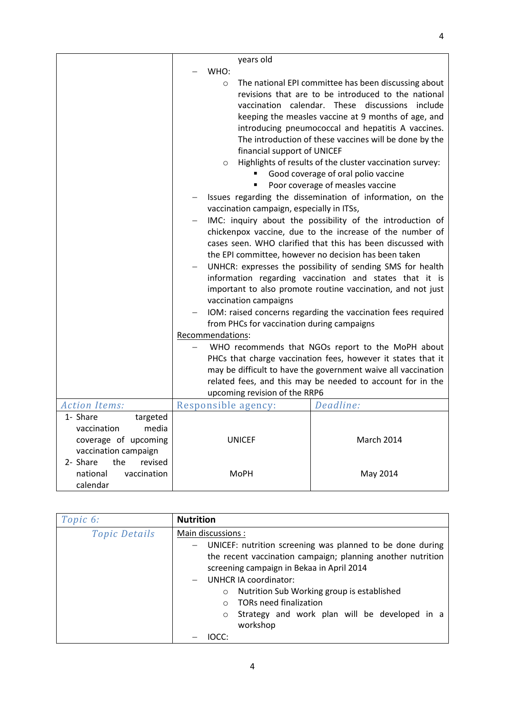|                                                                                  | years old                                                                                                                                                                                         |                                                                                                                                                                                                                                                                                                                                                                                                                                                                                                                                                                                                                                                                                                                                                                                                                                                                                                                                                                                                                                                                                                         |
|----------------------------------------------------------------------------------|---------------------------------------------------------------------------------------------------------------------------------------------------------------------------------------------------|---------------------------------------------------------------------------------------------------------------------------------------------------------------------------------------------------------------------------------------------------------------------------------------------------------------------------------------------------------------------------------------------------------------------------------------------------------------------------------------------------------------------------------------------------------------------------------------------------------------------------------------------------------------------------------------------------------------------------------------------------------------------------------------------------------------------------------------------------------------------------------------------------------------------------------------------------------------------------------------------------------------------------------------------------------------------------------------------------------|
|                                                                                  | WHO:<br>$\circ$<br>financial support of UNICEF<br>$\circ$<br>vaccination campaign, especially in ITSs,<br>vaccination campaigns<br>from PHCs for vaccination during campaigns<br>Recommendations: | The national EPI committee has been discussing about<br>revisions that are to be introduced to the national<br>vaccination calendar. These discussions include<br>keeping the measles vaccine at 9 months of age, and<br>introducing pneumococcal and hepatitis A vaccines.<br>The introduction of these vaccines will be done by the<br>Highlights of results of the cluster vaccination survey:<br>Good coverage of oral polio vaccine<br>Poor coverage of measles vaccine<br>Issues regarding the dissemination of information, on the<br>IMC: inquiry about the possibility of the introduction of<br>chickenpox vaccine, due to the increase of the number of<br>cases seen. WHO clarified that this has been discussed with<br>the EPI committee, however no decision has been taken<br>UNHCR: expresses the possibility of sending SMS for health<br>information regarding vaccination and states that it is<br>important to also promote routine vaccination, and not just<br>IOM: raised concerns regarding the vaccination fees required<br>WHO recommends that NGOs report to the MoPH about |
|                                                                                  |                                                                                                                                                                                                   | PHCs that charge vaccination fees, however it states that it                                                                                                                                                                                                                                                                                                                                                                                                                                                                                                                                                                                                                                                                                                                                                                                                                                                                                                                                                                                                                                            |
|                                                                                  |                                                                                                                                                                                                   | may be difficult to have the government waive all vaccination                                                                                                                                                                                                                                                                                                                                                                                                                                                                                                                                                                                                                                                                                                                                                                                                                                                                                                                                                                                                                                           |
|                                                                                  | upcoming revision of the RRP6                                                                                                                                                                     | related fees, and this may be needed to account for in the                                                                                                                                                                                                                                                                                                                                                                                                                                                                                                                                                                                                                                                                                                                                                                                                                                                                                                                                                                                                                                              |
| <b>Action Items:</b>                                                             | Responsible agency:                                                                                                                                                                               | Deadline:                                                                                                                                                                                                                                                                                                                                                                                                                                                                                                                                                                                                                                                                                                                                                                                                                                                                                                                                                                                                                                                                                               |
| 1- Share                                                                         |                                                                                                                                                                                                   |                                                                                                                                                                                                                                                                                                                                                                                                                                                                                                                                                                                                                                                                                                                                                                                                                                                                                                                                                                                                                                                                                                         |
| targeted<br>vaccination<br>media<br>coverage of upcoming<br>vaccination campaign | <b>UNICEF</b>                                                                                                                                                                                     | March 2014                                                                                                                                                                                                                                                                                                                                                                                                                                                                                                                                                                                                                                                                                                                                                                                                                                                                                                                                                                                                                                                                                              |
| 2- Share<br>the<br>revised<br>national<br>vaccination<br>calendar                | <b>MoPH</b>                                                                                                                                                                                       | May 2014                                                                                                                                                                                                                                                                                                                                                                                                                                                                                                                                                                                                                                                                                                                                                                                                                                                                                                                                                                                                                                                                                                |

| Topic 6:             | <b>Nutrition</b>                                                     |
|----------------------|----------------------------------------------------------------------|
| <b>Topic Details</b> | Main discussions:                                                    |
|                      | UNICEF: nutrition screening was planned to be done during            |
|                      | the recent vaccination campaign; planning another nutrition          |
|                      | screening campaign in Bekaa in April 2014                            |
|                      | <b>UNHCR IA coordinator:</b>                                         |
|                      | Nutrition Sub Working group is established<br>$\circ$                |
|                      | <b>TORs need finalization</b><br>$\cap$                              |
|                      | Strategy and work plan will be developed in a<br>$\circ$<br>workshop |
|                      |                                                                      |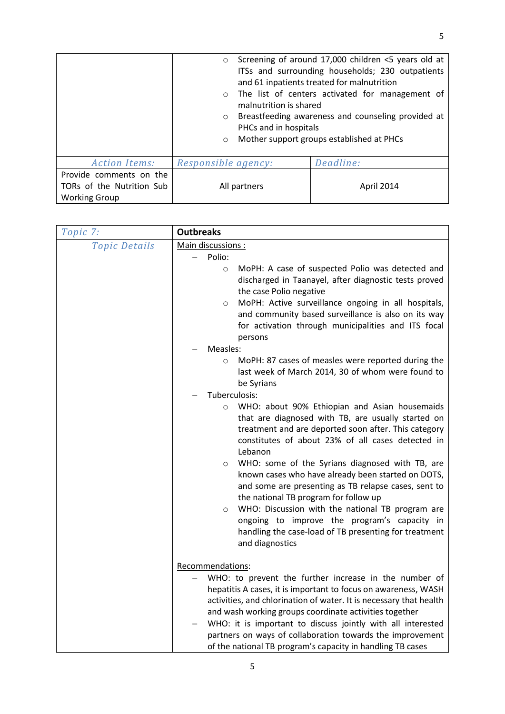|                           | $\circ$<br>$\circ$     | Screening of around 17,000 children <5 years old at<br>ITSs and surrounding households; 230 outpatients<br>and 61 inpatients treated for malnutrition<br>The list of centers activated for management of |
|---------------------------|------------------------|----------------------------------------------------------------------------------------------------------------------------------------------------------------------------------------------------------|
|                           | malnutrition is shared |                                                                                                                                                                                                          |
|                           | $\circ$                | Breastfeeding awareness and counseling provided at                                                                                                                                                       |
|                           | PHCs and in hospitals  |                                                                                                                                                                                                          |
|                           | $\circ$                | Mother support groups established at PHCs                                                                                                                                                                |
|                           |                        |                                                                                                                                                                                                          |
| <b>Action Items:</b>      | Responsible agency:    | Deadline:                                                                                                                                                                                                |
| Provide comments on the   |                        |                                                                                                                                                                                                          |
| TORs of the Nutrition Sub | All partners           | April 2014                                                                                                                                                                                               |
| <b>Working Group</b>      |                        |                                                                                                                                                                                                          |

| Topic 7:             | <b>Outbreaks</b>                                                                                                                                                                                                                                                                                                                                                                                                                                                                                                                                                                                                                                       |
|----------------------|--------------------------------------------------------------------------------------------------------------------------------------------------------------------------------------------------------------------------------------------------------------------------------------------------------------------------------------------------------------------------------------------------------------------------------------------------------------------------------------------------------------------------------------------------------------------------------------------------------------------------------------------------------|
| <b>Topic Details</b> | Main discussions :                                                                                                                                                                                                                                                                                                                                                                                                                                                                                                                                                                                                                                     |
|                      | Polio:                                                                                                                                                                                                                                                                                                                                                                                                                                                                                                                                                                                                                                                 |
|                      | MoPH: A case of suspected Polio was detected and<br>$\circ$<br>discharged in Taanayel, after diagnostic tests proved<br>the case Polio negative<br>MoPH: Active surveillance ongoing in all hospitals,<br>$\circ$<br>and community based surveillance is also on its way<br>for activation through municipalities and ITS focal<br>persons                                                                                                                                                                                                                                                                                                             |
|                      | Measles:                                                                                                                                                                                                                                                                                                                                                                                                                                                                                                                                                                                                                                               |
|                      | MoPH: 87 cases of measles were reported during the<br>$\circ$<br>last week of March 2014, 30 of whom were found to<br>be Syrians                                                                                                                                                                                                                                                                                                                                                                                                                                                                                                                       |
|                      | Tuberculosis:                                                                                                                                                                                                                                                                                                                                                                                                                                                                                                                                                                                                                                          |
|                      | WHO: about 90% Ethiopian and Asian housemaids<br>$\circ$<br>that are diagnosed with TB, are usually started on<br>treatment and are deported soon after. This category<br>constitutes of about 23% of all cases detected in<br>Lebanon<br>WHO: some of the Syrians diagnosed with TB, are<br>$\circ$<br>known cases who have already been started on DOTS,<br>and some are presenting as TB relapse cases, sent to<br>the national TB program for follow up<br>WHO: Discussion with the national TB program are<br>$\circ$<br>ongoing to improve the program's capacity in<br>handling the case-load of TB presenting for treatment<br>and diagnostics |
|                      | Recommendations:                                                                                                                                                                                                                                                                                                                                                                                                                                                                                                                                                                                                                                       |
|                      | WHO: to prevent the further increase in the number of<br>hepatitis A cases, it is important to focus on awareness, WASH<br>activities, and chlorination of water. It is necessary that health<br>and wash working groups coordinate activities together<br>WHO: it is important to discuss jointly with all interested<br>partners on ways of collaboration towards the improvement<br>of the national TB program's capacity in handling TB cases                                                                                                                                                                                                      |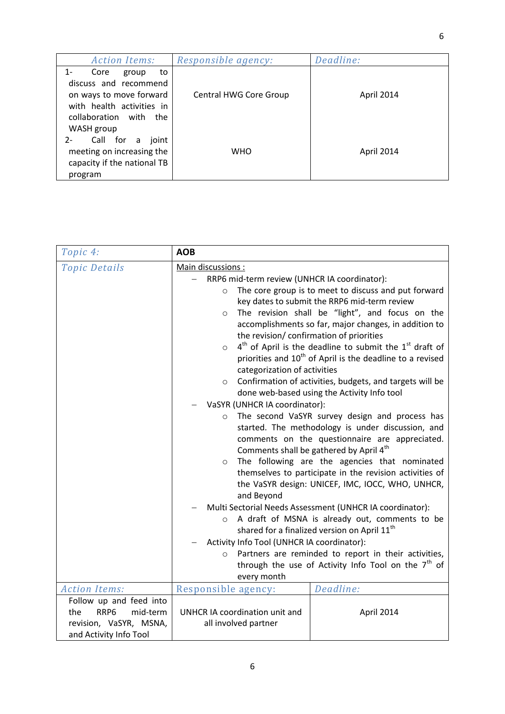| <b>Action Items:</b>         | Responsible agency:           | Deadline:  |
|------------------------------|-------------------------------|------------|
| Core<br>1-<br>to<br>group    |                               |            |
| discuss and recommend        |                               |            |
| on ways to move forward      | <b>Central HWG Core Group</b> | April 2014 |
| with health activities in    |                               |            |
| collaboration with<br>the    |                               |            |
| WASH group                   |                               |            |
| Call for a<br>$2 -$<br>joint |                               |            |
| meeting on increasing the    | <b>WHO</b>                    | April 2014 |
| capacity if the national TB  |                               |            |
| program                      |                               |            |

| Topic 4:                            | <b>AOB</b>                                                                                            |
|-------------------------------------|-------------------------------------------------------------------------------------------------------|
| <b>Topic Details</b>                | Main discussions:                                                                                     |
|                                     | RRP6 mid-term review (UNHCR IA coordinator):                                                          |
|                                     | The core group is to meet to discuss and put forward<br>$\circ$                                       |
|                                     | key dates to submit the RRP6 mid-term review                                                          |
|                                     | The revision shall be "light", and focus on the<br>$\circ$                                            |
|                                     | accomplishments so far, major changes, in addition to                                                 |
|                                     | the revision/ confirmation of priorities                                                              |
|                                     | $4th$ of April is the deadline to submit the $1st$ draft of<br>$\circ$                                |
|                                     | priorities and 10 <sup>th</sup> of April is the deadline to a revised                                 |
|                                     | categorization of activities                                                                          |
|                                     | Confirmation of activities, budgets, and targets will be<br>$\circ$                                   |
|                                     | done web-based using the Activity Info tool                                                           |
|                                     | VaSYR (UNHCR IA coordinator):                                                                         |
|                                     | The second VaSYR survey design and process has<br>$\circ$                                             |
|                                     | started. The methodology is under discussion, and                                                     |
|                                     | comments on the questionnaire are appreciated.<br>Comments shall be gathered by April 4 <sup>th</sup> |
|                                     | The following are the agencies that nominated<br>$\circ$                                              |
|                                     | themselves to participate in the revision activities of                                               |
|                                     | the VaSYR design: UNICEF, IMC, IOCC, WHO, UNHCR,                                                      |
|                                     | and Beyond                                                                                            |
|                                     | Multi Sectorial Needs Assessment (UNHCR IA coordinator):                                              |
|                                     | A draft of MSNA is already out, comments to be<br>$\circ$                                             |
|                                     | shared for a finalized version on April 11 <sup>th</sup>                                              |
|                                     | Activity Info Tool (UNHCR IA coordinator):                                                            |
|                                     | Partners are reminded to report in their activities,<br>$\circ$                                       |
|                                     | through the use of Activity Info Tool on the $7th$ of                                                 |
|                                     | every month                                                                                           |
| <b>Action Items:</b>                | Deadline:<br>Responsible agency:                                                                      |
| Follow up and feed into             |                                                                                                       |
| RRP <sub>6</sub><br>mid-term<br>the | UNHCR IA coordination unit and<br>April 2014                                                          |
| revision, VaSYR, MSNA,              | all involved partner                                                                                  |
| and Activity Info Tool              |                                                                                                       |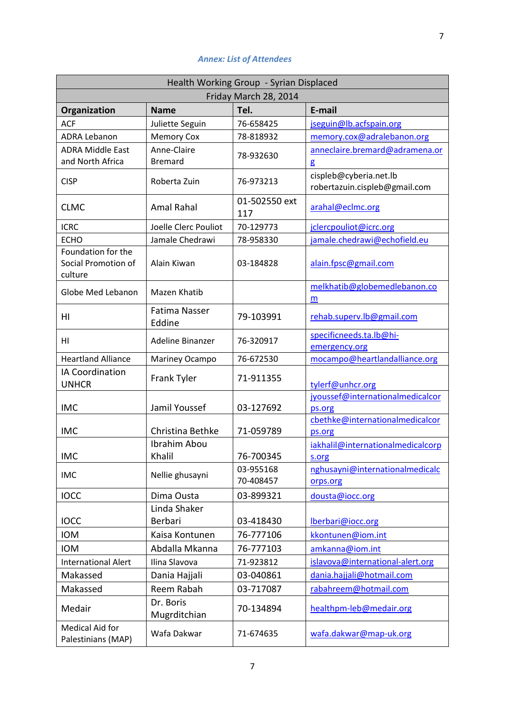## *Annex: List of Attendees*

| Health Working Group - Syrian Displaced              |                                |                        |                                                         |  |  |
|------------------------------------------------------|--------------------------------|------------------------|---------------------------------------------------------|--|--|
| Friday March 28, 2014                                |                                |                        |                                                         |  |  |
| Organization                                         | <b>Name</b>                    | Tel.                   | E-mail                                                  |  |  |
| <b>ACF</b>                                           | Juliette Seguin                | 76-658425              | jseguin@lb.acfspain.org                                 |  |  |
| <b>ADRA Lebanon</b>                                  | <b>Memory Cox</b>              | 78-818932              | memory.cox@adralebanon.org                              |  |  |
| <b>ADRA Middle East</b>                              | Anne-Claire                    | 78-932630              | anneclaire.bremard@adramena.or                          |  |  |
| and North Africa                                     | <b>Bremard</b>                 |                        | g                                                       |  |  |
| <b>CISP</b>                                          | Roberta Zuin                   | 76-973213              | cispleb@cyberia.net.lb<br>robertazuin.cispleb@gmail.com |  |  |
| <b>CLMC</b>                                          | <b>Amal Rahal</b>              | 01-502550 ext<br>117   | arahal@eclmc.org                                        |  |  |
| <b>ICRC</b>                                          | Joelle Clerc Pouliot           | 70-129773              | jclercpouliot@icrc.org                                  |  |  |
| <b>ECHO</b>                                          | Jamale Chedrawi                | 78-958330              | jamale.chedrawi@echofield.eu                            |  |  |
| Foundation for the<br>Social Promotion of<br>culture | Alain Kiwan                    | 03-184828              | alain.fpsc@gmail.com                                    |  |  |
| Globe Med Lebanon                                    | Mazen Khatib                   |                        | melkhatib@globemedlebanon.co<br>m                       |  |  |
| HI                                                   | <b>Fatima Nasser</b><br>Eddine | 79-103991              | rehab.superv.lb@gmail.com                               |  |  |
| HI                                                   | Adeline Binanzer               | 76-320917              | specificneeds.ta.lb@hi-<br>emergency.org                |  |  |
| <b>Heartland Alliance</b>                            | Mariney Ocampo                 | 76-672530              | mocampo@heartlandalliance.org                           |  |  |
| IA Coordination<br><b>UNHCR</b>                      | Frank Tyler                    | 71-911355              | tylerf@unhcr.org                                        |  |  |
| <b>IMC</b>                                           | Jamil Youssef                  | 03-127692              | jyoussef@internationalmedicalcor<br>ps.org              |  |  |
| <b>IMC</b>                                           | Christina Bethke               | 71-059789              | cbethke@internationalmedicalcor<br>ps.org               |  |  |
| <b>IMC</b>                                           | Ibrahim Abou<br>Khalil         | 76-700345              | iakhalil@internationalmedicalcorp<br>s.org              |  |  |
| <b>IMC</b>                                           | Nellie ghusayni                | 03-955168<br>70-408457 | nghusayni@internationalmedicalc<br>orps.org             |  |  |
| <b>IOCC</b>                                          | Dima Ousta                     | 03-899321              | dousta@iocc.org                                         |  |  |
|                                                      | Linda Shaker                   |                        |                                                         |  |  |
| <b>IOCC</b>                                          | Berbari                        | 03-418430              | lberbari@iocc.org                                       |  |  |
| <b>IOM</b>                                           | Kaisa Kontunen                 | 76-777106              | kkontunen@iom.int                                       |  |  |
| <b>IOM</b>                                           | Abdalla Mkanna                 | 76-777103              | amkanna@iom.int                                         |  |  |
| <b>International Alert</b>                           | Ilina Slavova                  | 71-923812              | islavova@international-alert.org                        |  |  |
| Makassed                                             | Dania Hajjali                  | 03-040861              | dania.hajjali@hotmail.com                               |  |  |
| Makassed                                             | Reem Rabah                     | 03-717087              | rabahreem@hotmail.com                                   |  |  |
| Medair                                               | Dr. Boris<br>Mugrditchian      | 70-134894              | healthpm-leb@medair.org                                 |  |  |
| <b>Medical Aid for</b><br>Palestinians (MAP)         | Wafa Dakwar                    | 71-674635              | wafa.dakwar@map-uk.org                                  |  |  |